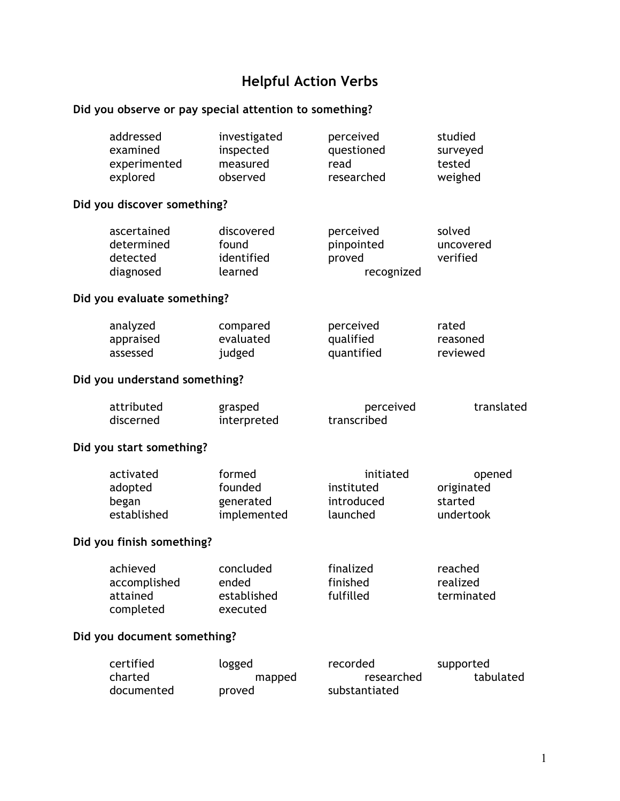# **Helpful Action Verbs**

## **Did you observe or pay special attention to something?**

| addressed<br>examined<br>experimented<br>explored  | investigated<br>inspected<br>measured<br>observed | perceived<br>questioned<br>read<br>researched     | studied<br>surveyed<br>tested<br>weighed     |
|----------------------------------------------------|---------------------------------------------------|---------------------------------------------------|----------------------------------------------|
| Did you discover something?                        |                                                   |                                                   |                                              |
| ascertained<br>determined<br>detected<br>diagnosed | discovered<br>found<br>identified<br>learned      | perceived<br>pinpointed<br>proved<br>recognized   | solved<br>uncovered<br>verified              |
| Did you evaluate something?                        |                                                   |                                                   |                                              |
| analyzed<br>appraised<br>assessed                  | compared<br>evaluated<br>judged                   | perceived<br>qualified<br>quantified              | rated<br>reasoned<br>reviewed                |
| Did you understand something?                      |                                                   |                                                   |                                              |
| attributed<br>discerned                            | grasped<br>interpreted                            | perceived<br>transcribed                          | translated                                   |
| Did you start something?                           |                                                   |                                                   |                                              |
| activated<br>adopted<br>began<br>established       | formed<br>founded<br>generated<br>implemented     | initiated<br>instituted<br>introduced<br>launched | opened<br>originated<br>started<br>undertook |
| Did you finish something?                          |                                                   |                                                   |                                              |
| achieved<br>accomplished<br>attained<br>completed  | concluded<br>ended<br>established<br>executed     | finalized<br>finished<br>fulfilled                | reached<br>realized<br>terminated            |
| Did you document something?                        |                                                   |                                                   |                                              |
| certified<br>charted<br>documented                 | logged<br>mapped<br>proved                        | recorded<br>researched<br>substantiated           | supported<br>tabulated                       |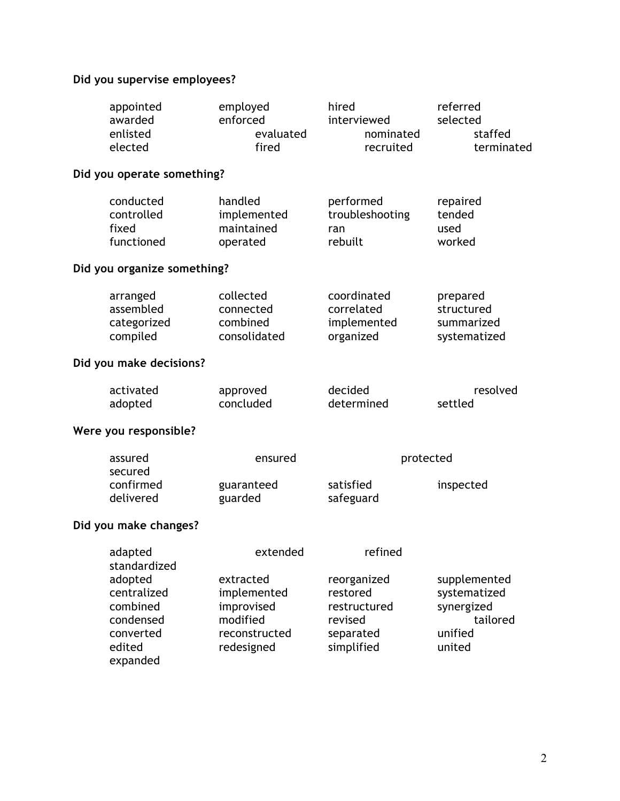## **Did you supervise employees?**

| appointed<br>awarded<br>enlisted<br>elected                                        | employed<br>enforced<br>evaluated<br>fired                                        | hired<br>interviewed<br>nominated<br>recruited                                | referred<br>selected<br>staffed<br>terminated                               |
|------------------------------------------------------------------------------------|-----------------------------------------------------------------------------------|-------------------------------------------------------------------------------|-----------------------------------------------------------------------------|
|                                                                                    |                                                                                   |                                                                               |                                                                             |
| conducted<br>controlled<br>fixed<br>functioned                                     | handled<br>implemented<br>maintained<br>operated                                  | performed<br>troubleshooting<br>ran<br>rebuilt                                | repaired<br>tended<br>used<br>worked                                        |
|                                                                                    |                                                                                   |                                                                               |                                                                             |
| arranged<br>assembled<br>categorized<br>compiled                                   | collected<br>connected<br>combined<br>consolidated                                | coordinated<br>correlated<br>implemented<br>organized                         | prepared<br>structured<br>summarized<br>systematized                        |
| Did you make decisions?                                                            |                                                                                   |                                                                               |                                                                             |
| activated<br>adopted                                                               | approved<br>concluded                                                             | decided<br>determined                                                         | resolved<br>settled                                                         |
| Were you responsible?                                                              |                                                                                   |                                                                               |                                                                             |
| assured<br>secured                                                                 | ensured                                                                           |                                                                               | inspected                                                                   |
| delivered                                                                          | guarded                                                                           | safeguard                                                                     |                                                                             |
| Did you make changes?                                                              |                                                                                   |                                                                               |                                                                             |
| adapted                                                                            | extended                                                                          | refined                                                                       |                                                                             |
| adopted<br>centralized<br>combined<br>condensed<br>converted<br>edited<br>expanded | extracted<br>implemented<br>improvised<br>modified<br>reconstructed<br>redesigned | reorganized<br>restored<br>restructured<br>revised<br>separated<br>simplified | supplemented<br>systematized<br>synergized<br>tailored<br>unified<br>united |
|                                                                                    | confirmed<br>standardized                                                         | Did you operate something?<br>Did you organize something?<br>guaranteed       | protected<br>satisfied                                                      |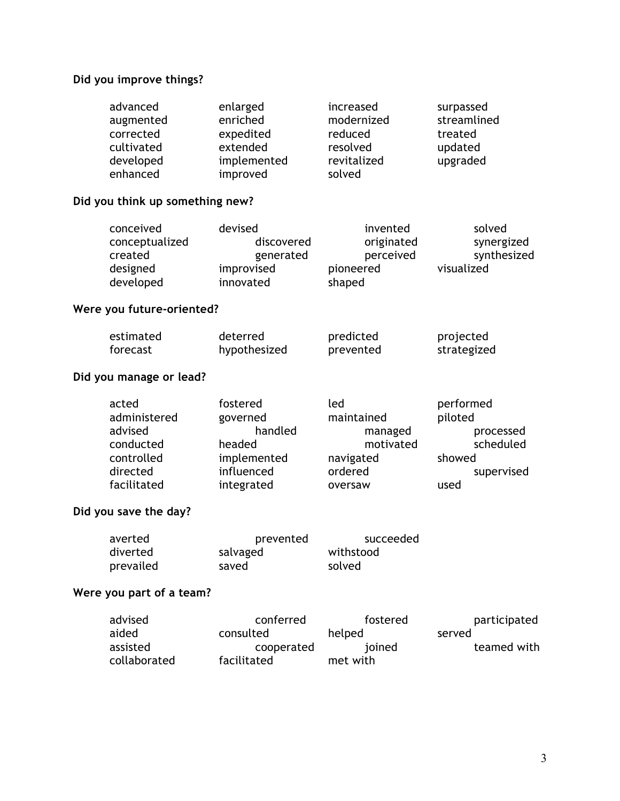#### **Did you improve things?**

| advanced   | enlarged    | increased   | surpassed   |
|------------|-------------|-------------|-------------|
| augmented  | enriched    | modernized  | streamlined |
| corrected  | expedited   | reduced     | treated     |
| cultivated | extended    | resolved    | updated     |
| developed  | implemented | revitalized | upgraded    |
| enhanced   | improved    | solved      |             |

#### **Did you think up something new?**

| conceived      | devised    | invented   | solved      |
|----------------|------------|------------|-------------|
| conceptualized | discovered | originated | synergized  |
| created        | generated  | perceived  | synthesized |
| designed       | improvised | pioneered  | visualized  |
| developed      | innovated  | shaped     |             |

### **Were you future-oriented?**

| estimated | deterred     | predicted | projected   |
|-----------|--------------|-----------|-------------|
| forecast  | hypothesized | prevented | strategized |

### **Did you manage or lead?**

| acted        | fostered    | led        | performed  |
|--------------|-------------|------------|------------|
| administered | governed    | maintained | piloted    |
| advised      | handled     | managed    | processed  |
| conducted    | headed      | motivated  | scheduled  |
| controlled   | implemented | navigated  | showed     |
| directed     | influenced  | ordered    | supervised |
| facilitated  | integrated  | oversaw    | used       |

#### **Did you save the day?**

| averted   | prevented | succeeded |
|-----------|-----------|-----------|
| diverted  | salvaged  | withstood |
| prevailed | saved     | solved    |

#### **Were you part of a team?**

| advised      | conferred   | fostered | participated |
|--------------|-------------|----------|--------------|
| aided        | consulted   | helped   | served       |
| assisted     | cooperated  | joined   | teamed with  |
| collaborated | facilitated | met with |              |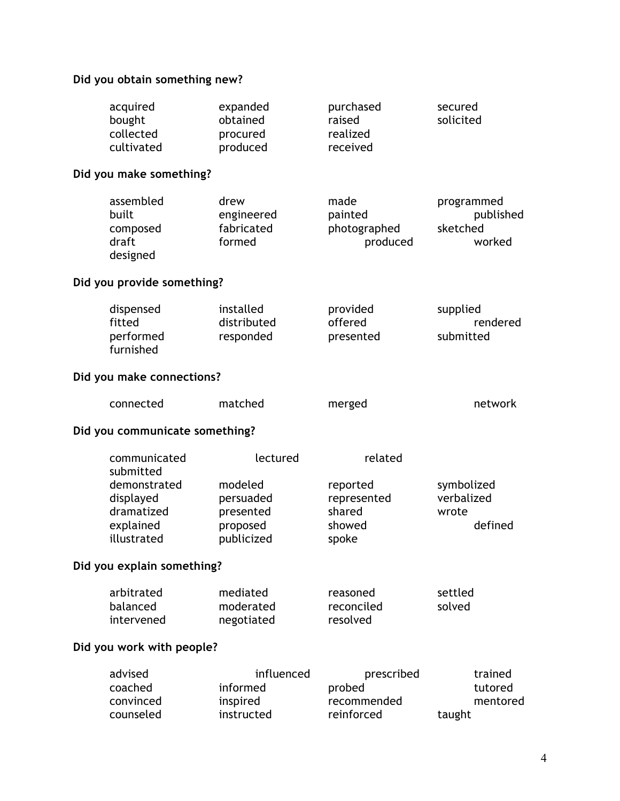## **Did you obtain something new?**

| acquired<br>bought<br>collected<br>cultivated                                                    | expanded<br>obtained<br>procured<br>produced                            | purchased<br>raised<br>realized<br>received                     | secured<br>solicited                          |
|--------------------------------------------------------------------------------------------------|-------------------------------------------------------------------------|-----------------------------------------------------------------|-----------------------------------------------|
| Did you make something?                                                                          |                                                                         |                                                                 |                                               |
| assembled<br>built<br>composed<br>draft<br>designed                                              | drew<br>engineered<br>fabricated<br>formed                              | made<br>painted<br>photographed<br>produced                     | programmed<br>published<br>sketched<br>worked |
| Did you provide something?                                                                       |                                                                         |                                                                 |                                               |
| dispensed<br>fitted<br>performed<br>furnished                                                    | installed<br>distributed<br>responded                                   | provided<br>offered<br>presented                                | supplied<br>rendered<br>submitted             |
| Did you make connections?                                                                        |                                                                         |                                                                 |                                               |
| connected                                                                                        | matched                                                                 | merged                                                          | network                                       |
| Did you communicate something?                                                                   |                                                                         |                                                                 |                                               |
| communicated<br>submitted<br>demonstrated<br>displayed<br>dramatized<br>explained<br>illustrated | lectured<br>modeled<br>persuaded<br>presented<br>proposed<br>publicized | related<br>reported<br>represented<br>shared<br>showed<br>spoke | symbolized<br>verbalized<br>wrote<br>defined  |
| Did you explain something?                                                                       |                                                                         |                                                                 |                                               |
| arbitrated<br>balanced<br>intervened                                                             | mediated<br>moderated<br>negotiated                                     | reasoned<br>reconciled<br>resolved                              | settled<br>solved                             |
| Did you work with people?                                                                        |                                                                         |                                                                 |                                               |
| advised<br>coached<br>convinced<br>counseled                                                     | influenced<br>informed<br>inspired<br>instructed                        | prescribed<br>probed<br>recommended<br>reinforced               | trained<br>tutored<br>mentored<br>taught      |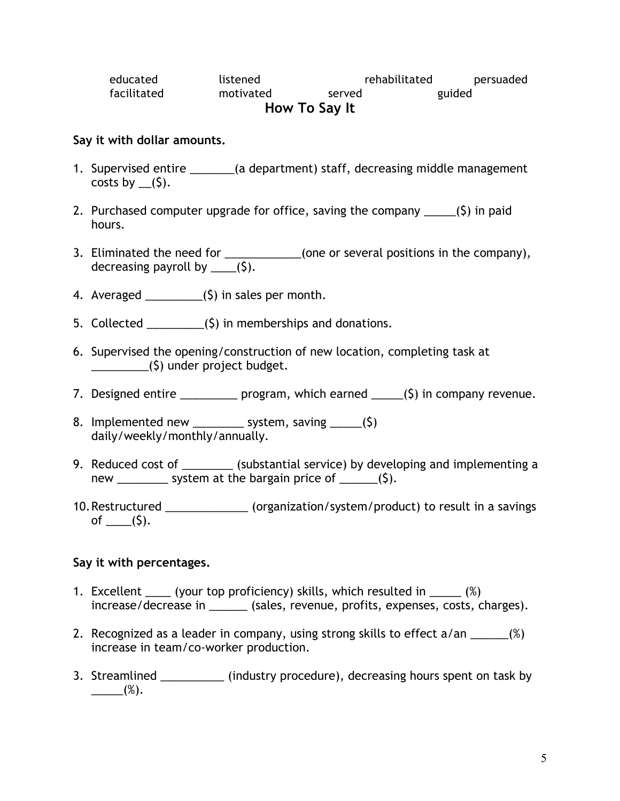| educated      | listened  | rehabilitated | persuaded |  |
|---------------|-----------|---------------|-----------|--|
| facilitated   | motivated | served        | guided    |  |
| How To Say It |           |               |           |  |

#### **Say it with dollar amounts.**

- 1. Supervised entire \_\_\_\_\_\_\_(a department) staff, decreasing middle management costs by  $(5)$ .
- 2. Purchased computer upgrade for office, saving the company  $\qquad$  (\$) in paid hours.
- 3. Eliminated the need for \_\_\_\_\_\_\_\_\_\_\_\_(one or several positions in the company), decreasing payroll by  $(5)$ .
- 4. Averaged  $(5)$  in sales per month.
- 5. Collected  $\frac{1}{\sqrt{2}}$  (\$) in memberships and donations.
- 6. Supervised the opening/construction of new location, completing task at \_\_\_\_\_\_\_\_\_(\$) under project budget.
- 7. Designed entire \_\_\_\_\_\_\_\_\_\_ program, which earned \_\_\_\_\_(\$) in company revenue.
- 8. Implemented new \_\_\_\_\_\_\_\_ system, saving \_\_\_\_\_(\$) daily/weekly/monthly/annually.
- 9. Reduced cost of \_\_\_\_\_\_\_\_ (substantial service) by developing and implementing a new system at the bargain price of  $(5)$ .
- 10.Restructured \_\_\_\_\_\_\_\_\_\_\_\_\_ (organization/system/product) to result in a savings of  $_{(5)}$ .

#### **Say it with percentages.**

- 1. Excellent (your top proficiency) skills, which resulted in  $\frac{1}{2}$  (%) increase/decrease in \_\_\_\_\_\_ (sales, revenue, profits, expenses, costs, charges).
- 2. Recognized as a leader in company, using strong skills to effect a/an \_\_\_\_\_\_(%) increase in team/co-worker production.
- 3. Streamlined \_\_\_\_\_\_\_\_\_\_ (industry procedure), decreasing hours spent on task by  $(\%)$ .